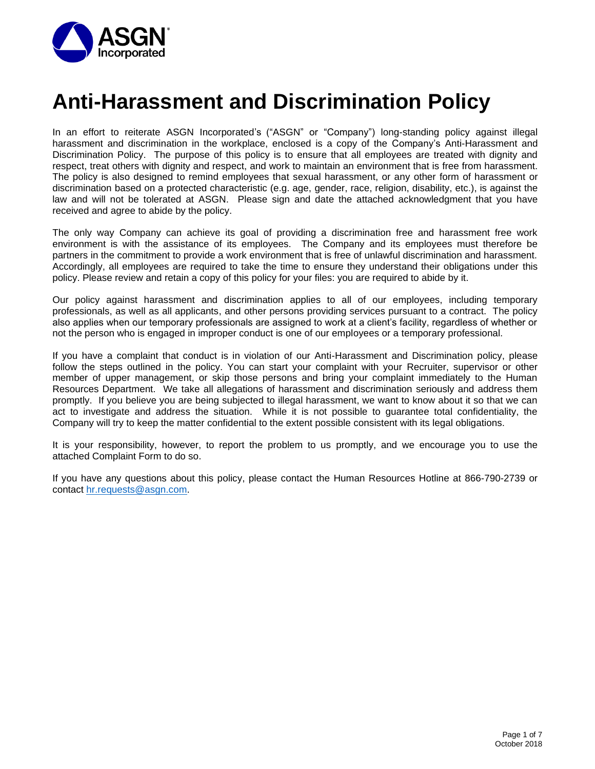

# **Anti-Harassment and Discrimination Policy**

In an effort to reiterate ASGN Incorporated's ("ASGN" or "Company") long-standing policy against illegal harassment and discrimination in the workplace, enclosed is a copy of the Company's Anti-Harassment and Discrimination Policy. The purpose of this policy is to ensure that all employees are treated with dignity and respect, treat others with dignity and respect, and work to maintain an environment that is free from harassment. The policy is also designed to remind employees that sexual harassment, or any other form of harassment or discrimination based on a protected characteristic (e.g. age, gender, race, religion, disability, etc.), is against the law and will not be tolerated at ASGN. Please sign and date the attached acknowledgment that you have received and agree to abide by the policy.

The only way Company can achieve its goal of providing a discrimination free and harassment free work environment is with the assistance of its employees. The Company and its employees must therefore be partners in the commitment to provide a work environment that is free of unlawful discrimination and harassment. Accordingly, all employees are required to take the time to ensure they understand their obligations under this policy. Please review and retain a copy of this policy for your files: you are required to abide by it.

Our policy against harassment and discrimination applies to all of our employees, including temporary professionals, as well as all applicants, and other persons providing services pursuant to a contract. The policy also applies when our temporary professionals are assigned to work at a client's facility, regardless of whether or not the person who is engaged in improper conduct is one of our employees or a temporary professional.

If you have a complaint that conduct is in violation of our Anti-Harassment and Discrimination policy, please follow the steps outlined in the policy. You can start your complaint with your Recruiter, supervisor or other member of upper management, or skip those persons and bring your complaint immediately to the Human Resources Department. We take all allegations of harassment and discrimination seriously and address them promptly. If you believe you are being subjected to illegal harassment, we want to know about it so that we can act to investigate and address the situation. While it is not possible to guarantee total confidentiality, the Company will try to keep the matter confidential to the extent possible consistent with its legal obligations.

It is your responsibility, however, to report the problem to us promptly, and we encourage you to use the attached Complaint Form to do so.

If you have any questions about this policy, please contact the Human Resources Hotline at 866-790-2739 or contact [hr.requests@asgn.com.](mailto:hr.requests@asgn.com)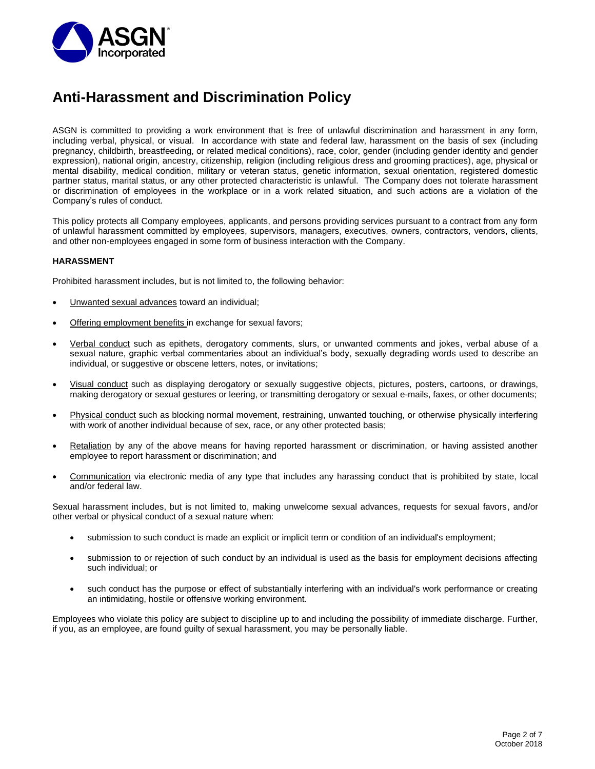

## **Anti-Harassment and Discrimination Policy**

ASGN is committed to providing a work environment that is free of unlawful discrimination and harassment in any form, including verbal, physical, or visual. In accordance with state and federal law, harassment on the basis of sex (including pregnancy, childbirth, breastfeeding, or related medical conditions), race, color, gender (including gender identity and gender expression), national origin, ancestry, citizenship, religion (including religious dress and grooming practices), age, physical or mental disability, medical condition, military or veteran status, genetic information, sexual orientation, registered domestic partner status, marital status, or any other protected characteristic is unlawful. The Company does not tolerate harassment or discrimination of employees in the workplace or in a work related situation, and such actions are a violation of the Company's rules of conduct.

This policy protects all Company employees, applicants, and persons providing services pursuant to a contract from any form of unlawful harassment committed by employees, supervisors, managers, executives, owners, contractors, vendors, clients, and other non-employees engaged in some form of business interaction with the Company.

## **HARASSMENT**

Prohibited harassment includes, but is not limited to, the following behavior:

- Unwanted sexual advances toward an individual;
- Offering employment benefits in exchange for sexual favors;
- Verbal conduct such as epithets, derogatory comments, slurs, or unwanted comments and jokes, verbal abuse of a sexual nature, graphic verbal commentaries about an individual's body, sexually degrading words used to describe an individual, or suggestive or obscene letters, notes, or invitations;
- Visual conduct such as displaying derogatory or sexually suggestive objects, pictures, posters, cartoons, or drawings, making derogatory or sexual gestures or leering, or transmitting derogatory or sexual e-mails, faxes, or other documents;
- Physical conduct such as blocking normal movement, restraining, unwanted touching, or otherwise physically interfering with work of another individual because of sex, race, or any other protected basis;
- Retaliation by any of the above means for having reported harassment or discrimination, or having assisted another employee to report harassment or discrimination; and
- Communication via electronic media of any type that includes any harassing conduct that is prohibited by state, local and/or federal law.

Sexual harassment includes, but is not limited to, making unwelcome sexual advances, requests for sexual favors, and/or other verbal or physical conduct of a sexual nature when:

- submission to such conduct is made an explicit or implicit term or condition of an individual's employment;
- submission to or rejection of such conduct by an individual is used as the basis for employment decisions affecting such individual; or
- such conduct has the purpose or effect of substantially interfering with an individual's work performance or creating an intimidating, hostile or offensive working environment.

Employees who violate this policy are subject to discipline up to and including the possibility of immediate discharge. Further, if you, as an employee, are found guilty of sexual harassment, you may be personally liable.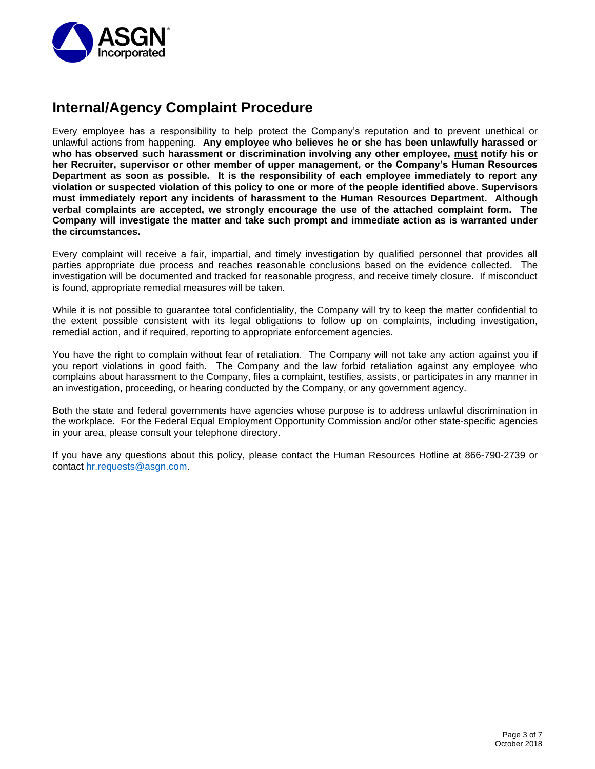

## **Internal/Agency Complaint Procedure**

Every employee has a responsibility to help protect the Company's reputation and to prevent unethical or unlawful actions from happening. **Any employee who believes he or she has been unlawfully harassed or who has observed such harassment or discrimination involving any other employee, must notify his or her Recruiter, supervisor or other member of upper management, or the Company's Human Resources Department as soon as possible. It is the responsibility of each employee immediately to report any violation or suspected violation of this policy to one or more of the people identified above. Supervisors must immediately report any incidents of harassment to the Human Resources Department. Although verbal complaints are accepted, we strongly encourage the use of the attached complaint form. The Company will investigate the matter and take such prompt and immediate action as is warranted under the circumstances.** 

Every complaint will receive a fair, impartial, and timely investigation by qualified personnel that provides all parties appropriate due process and reaches reasonable conclusions based on the evidence collected. The investigation will be documented and tracked for reasonable progress, and receive timely closure. If misconduct is found, appropriate remedial measures will be taken.

While it is not possible to guarantee total confidentiality, the Company will try to keep the matter confidential to the extent possible consistent with its legal obligations to follow up on complaints, including investigation, remedial action, and if required, reporting to appropriate enforcement agencies.

You have the right to complain without fear of retaliation. The Company will not take any action against you if you report violations in good faith. The Company and the law forbid retaliation against any employee who complains about harassment to the Company, files a complaint, testifies, assists, or participates in any manner in an investigation, proceeding, or hearing conducted by the Company, or any government agency.

Both the state and federal governments have agencies whose purpose is to address unlawful discrimination in the workplace. For the Federal Equal Employment Opportunity Commission and/or other state-specific agencies in your area, please consult your telephone directory.

If you have any questions about this policy, please contact the Human Resources Hotline at 866-790-2739 or contact [hr.requests@asgn.com.](mailto:hr.requests@asgn.com)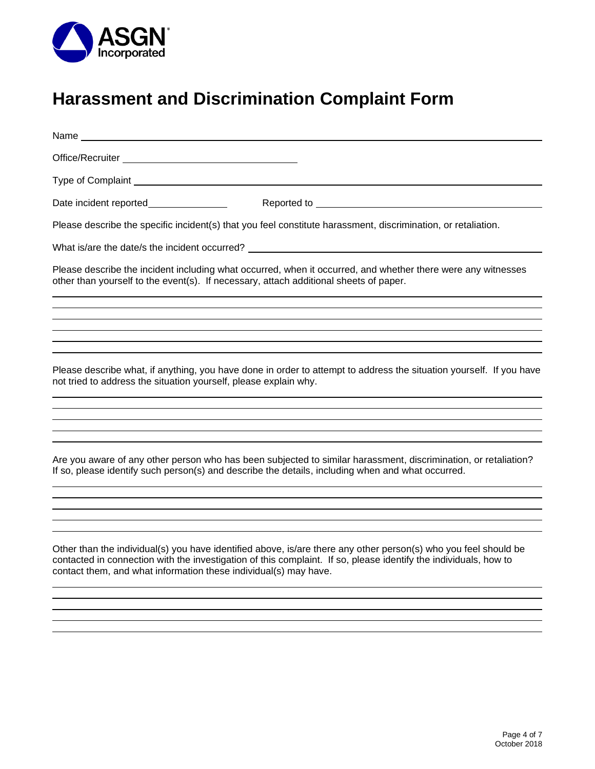

# **Harassment and Discrimination Complaint Form**

| Please describe the specific incident(s) that you feel constitute harassment, discrimination, or retaliation.                                                                                                                                                                                           |
|---------------------------------------------------------------------------------------------------------------------------------------------------------------------------------------------------------------------------------------------------------------------------------------------------------|
|                                                                                                                                                                                                                                                                                                         |
| Please describe the incident including what occurred, when it occurred, and whether there were any witnesses<br>other than yourself to the event(s). If necessary, attach additional sheets of paper.                                                                                                   |
|                                                                                                                                                                                                                                                                                                         |
|                                                                                                                                                                                                                                                                                                         |
|                                                                                                                                                                                                                                                                                                         |
| Please describe what, if anything, you have done in order to attempt to address the situation yourself. If you have<br>not tried to address the situation yourself, please explain why.                                                                                                                 |
|                                                                                                                                                                                                                                                                                                         |
|                                                                                                                                                                                                                                                                                                         |
| Are you aware of any other person who has been subjected to similar harassment, discrimination, or retaliation?<br>If so, please identify such person(s) and describe the details, including when and what occurred.                                                                                    |
|                                                                                                                                                                                                                                                                                                         |
| Other than the individual(s) you have identified above, is/are there any other person(s) who you feel should be<br>contacted in connection with the investigation of this complaint. If so, please identify the individuals, how to<br>contact them, and what information these individual(s) may have. |
|                                                                                                                                                                                                                                                                                                         |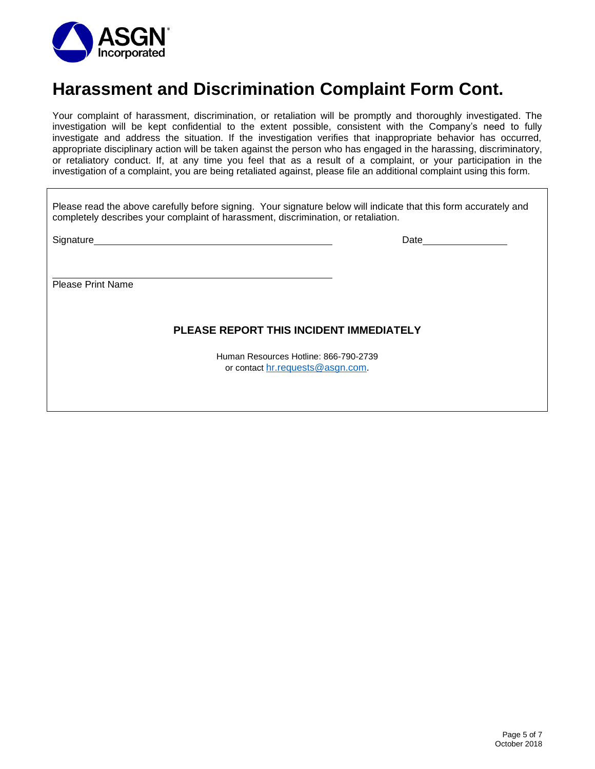

## **Harassment and Discrimination Complaint Form Cont.**

Your complaint of harassment, discrimination, or retaliation will be promptly and thoroughly investigated. The investigation will be kept confidential to the extent possible, consistent with the Company's need to fully investigate and address the situation. If the investigation verifies that inappropriate behavior has occurred, appropriate disciplinary action will be taken against the person who has engaged in the harassing, discriminatory, or retaliatory conduct. If, at any time you feel that as a result of a complaint, or your participation in the investigation of a complaint, you are being retaliated against, please file an additional complaint using this form.

| Please read the above carefully before signing. Your signature below will indicate that this form accurately and<br>completely describes your complaint of harassment, discrimination, or retaliation. |                                                                           |
|--------------------------------------------------------------------------------------------------------------------------------------------------------------------------------------------------------|---------------------------------------------------------------------------|
|                                                                                                                                                                                                        |                                                                           |
|                                                                                                                                                                                                        |                                                                           |
| <b>Please Print Name</b>                                                                                                                                                                               |                                                                           |
|                                                                                                                                                                                                        |                                                                           |
| PLEASE REPORT THIS INCIDENT IMMEDIATELY                                                                                                                                                                |                                                                           |
|                                                                                                                                                                                                        | Human Resources Hotline: 866-790-2739<br>or contact hr.requests@asgn.com. |

 $\overline{\mathsf{I}}$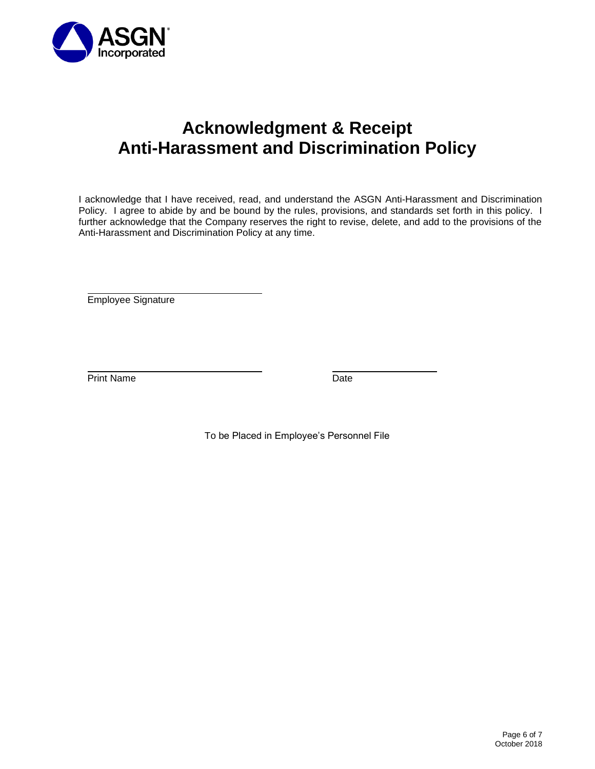

## **Acknowledgment & Receipt Anti-Harassment and Discrimination Policy**

I acknowledge that I have received, read, and understand the ASGN Anti-Harassment and Discrimination Policy. I agree to abide by and be bound by the rules, provisions, and standards set forth in this policy. I further acknowledge that the Company reserves the right to revise, delete, and add to the provisions of the Anti-Harassment and Discrimination Policy at any time.

Employee Signature

Print Name Date

To be Placed in Employee's Personnel File